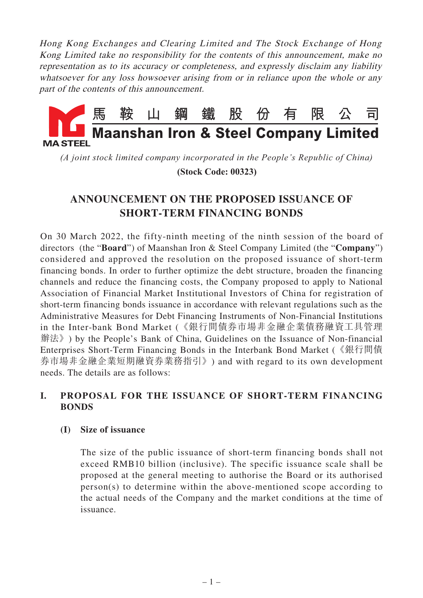Hong Kong Exchanges and Clearing Limited and The Stock Exchange of Hong Kong Limited take no responsibility for the contents of this announcement, make no representation as to its accuracy or completeness, and expressly disclaim any liability whatsoever for any loss howsoever arising from or in reliance upon the whole or any part of the contents of this announcement.



*(A joint stock limited company incorporated in the People's Republic of China)*

 **(Stock Code: 00323)**

# **ANNOUNCEMENT ON THE PROPOSED ISSUANCE OF SHORT-TERM FINANCING BONDS**

On 30 March 2022, the fifty-ninth meeting of the ninth session of the board of directors (the "**Board**") of Maanshan Iron & Steel Company Limited (the "**Company**") considered and approved the resolution on the proposed issuance of short-term financing bonds. In order to further optimize the debt structure, broaden the financing channels and reduce the financing costs, the Company proposed to apply to National Association of Financial Market Institutional Investors of China for registration of short-term financing bonds issuance in accordance with relevant regulations such as the Administrative Measures for Debt Financing Instruments of Non-Financial Institutions in the Inter-bank Bond Market (《銀行間債券市場非金融企業債務融資工具管理 辦法》) by the People's Bank of China, Guidelines on the Issuance of Non-financial Enterprises Short-Term Financing Bonds in the Interbank Bond Market (《銀行間債 券市場非金融企業短期融資券業務指引》) and with regard to its own development needs. The details are as follows:

# **I. PROPOSAL FOR THE ISSUANCE OF SHORT-TERM FINANCING BONDS**

# **(I) Size of issuance**

The size of the public issuance of short-term financing bonds shall not exceed RMB10 billion (inclusive). The specific issuance scale shall be proposed at the general meeting to authorise the Board or its authorised person(s) to determine within the above-mentioned scope according to the actual needs of the Company and the market conditions at the time of issuance.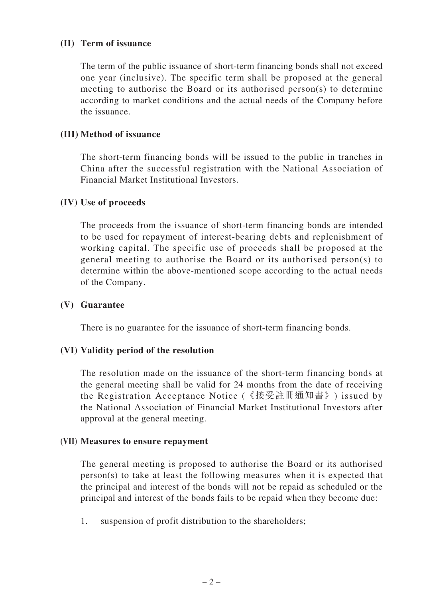### **(II) Term of issuance**

The term of the public issuance of short-term financing bonds shall not exceed one year (inclusive). The specific term shall be proposed at the general meeting to authorise the Board or its authorised person(s) to determine according to market conditions and the actual needs of the Company before the issuance.

### **(III) Method of issuance**

The short-term financing bonds will be issued to the public in tranches in China after the successful registration with the National Association of Financial Market Institutional Investors.

#### **(IV) Use of proceeds**

The proceeds from the issuance of short-term financing bonds are intended to be used for repayment of interest-bearing debts and replenishment of working capital. The specific use of proceeds shall be proposed at the general meeting to authorise the Board or its authorised person(s) to determine within the above-mentioned scope according to the actual needs of the Company.

#### **(V) Guarantee**

There is no guarantee for the issuance of short-term financing bonds.

# **(VI) Validity period of the resolution**

The resolution made on the issuance of the short-term financing bonds at the general meeting shall be valid for 24 months from the date of receiving the Registration Acceptance Notice (《接受註冊通知書》) issued by the National Association of Financial Market Institutional Investors after approval at the general meeting.

#### **(VII) Measures to ensure repayment**

The general meeting is proposed to authorise the Board or its authorised person(s) to take at least the following measures when it is expected that the principal and interest of the bonds will not be repaid as scheduled or the principal and interest of the bonds fails to be repaid when they become due:

1. suspension of profit distribution to the shareholders;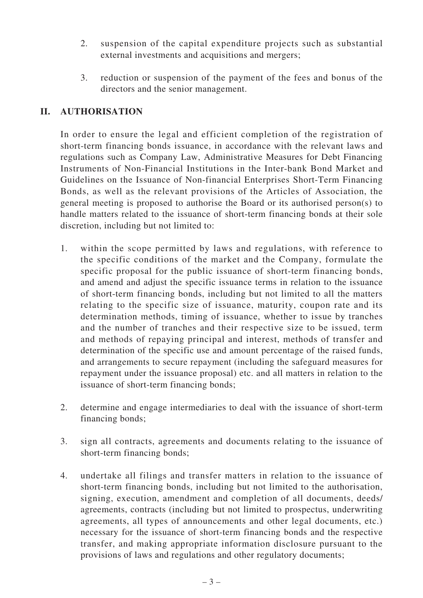- 2. suspension of the capital expenditure projects such as substantial external investments and acquisitions and mergers;
- 3. reduction or suspension of the payment of the fees and bonus of the directors and the senior management.

# **II. AUTHORISATION**

In order to ensure the legal and efficient completion of the registration of short-term financing bonds issuance, in accordance with the relevant laws and regulations such as Company Law, Administrative Measures for Debt Financing Instruments of Non-Financial Institutions in the Inter-bank Bond Market and Guidelines on the Issuance of Non-financial Enterprises Short-Term Financing Bonds, as well as the relevant provisions of the Articles of Association, the general meeting is proposed to authorise the Board or its authorised person(s) to handle matters related to the issuance of short-term financing bonds at their sole discretion, including but not limited to:

- 1. within the scope permitted by laws and regulations, with reference to the specific conditions of the market and the Company, formulate the specific proposal for the public issuance of short-term financing bonds, and amend and adjust the specific issuance terms in relation to the issuance of short-term financing bonds, including but not limited to all the matters relating to the specific size of issuance, maturity, coupon rate and its determination methods, timing of issuance, whether to issue by tranches and the number of tranches and their respective size to be issued, term and methods of repaying principal and interest, methods of transfer and determination of the specific use and amount percentage of the raised funds, and arrangements to secure repayment (including the safeguard measures for repayment under the issuance proposal) etc. and all matters in relation to the issuance of short-term financing bonds;
- 2. determine and engage intermediaries to deal with the issuance of short-term financing bonds;
- 3. sign all contracts, agreements and documents relating to the issuance of short-term financing bonds;
- 4. undertake all filings and transfer matters in relation to the issuance of short-term financing bonds, including but not limited to the authorisation, signing, execution, amendment and completion of all documents, deeds/ agreements, contracts (including but not limited to prospectus, underwriting agreements, all types of announcements and other legal documents, etc.) necessary for the issuance of short-term financing bonds and the respective transfer, and making appropriate information disclosure pursuant to the provisions of laws and regulations and other regulatory documents;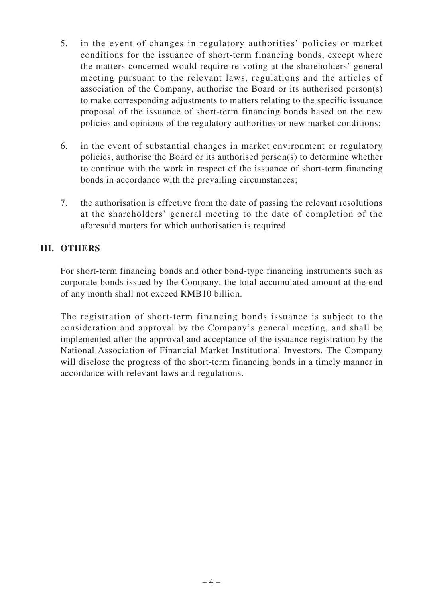- 5. in the event of changes in regulatory authorities' policies or market conditions for the issuance of short-term financing bonds, except where the matters concerned would require re-voting at the shareholders' general meeting pursuant to the relevant laws, regulations and the articles of association of the Company, authorise the Board or its authorised person(s) to make corresponding adjustments to matters relating to the specific issuance proposal of the issuance of short-term financing bonds based on the new policies and opinions of the regulatory authorities or new market conditions;
- 6. in the event of substantial changes in market environment or regulatory policies, authorise the Board or its authorised person(s) to determine whether to continue with the work in respect of the issuance of short-term financing bonds in accordance with the prevailing circumstances;
- 7. the authorisation is effective from the date of passing the relevant resolutions at the shareholders' general meeting to the date of completion of the aforesaid matters for which authorisation is required.

# **III. OTHERS**

For short-term financing bonds and other bond-type financing instruments such as corporate bonds issued by the Company, the total accumulated amount at the end of any month shall not exceed RMB10 billion.

The registration of short-term financing bonds issuance is subject to the consideration and approval by the Company's general meeting, and shall be implemented after the approval and acceptance of the issuance registration by the National Association of Financial Market Institutional Investors. The Company will disclose the progress of the short-term financing bonds in a timely manner in accordance with relevant laws and regulations.